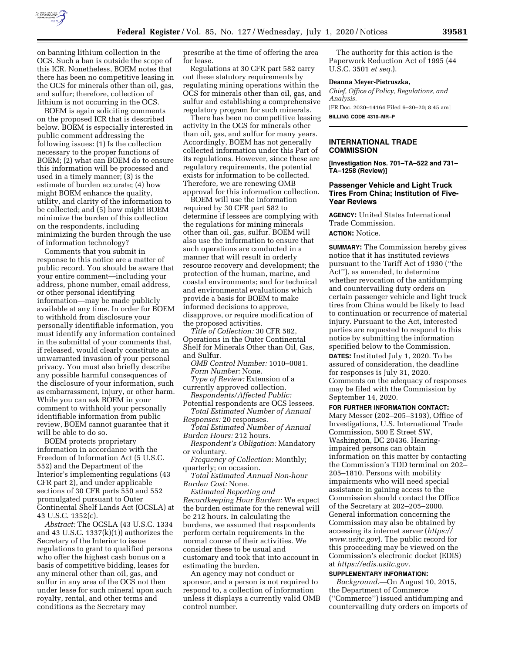

on banning lithium collection in the OCS. Such a ban is outside the scope of this ICR. Nonetheless, BOEM notes that there has been no competitive leasing in the OCS for minerals other than oil, gas, and sulfur; therefore, collection of lithium is not occurring in the OCS.

BOEM is again soliciting comments on the proposed ICR that is described below. BOEM is especially interested in public comment addressing the following issues: (1) Is the collection necessary to the proper functions of BOEM; (2) what can BOEM do to ensure this information will be processed and used in a timely manner; (3) is the estimate of burden accurate; (4) how might BOEM enhance the quality, utility, and clarity of the information to be collected; and (5) how might BOEM minimize the burden of this collection on the respondents, including minimizing the burden through the use of information technology?

Comments that you submit in response to this notice are a matter of public record. You should be aware that your entire comment—including your address, phone number, email address, or other personal identifying information—may be made publicly available at any time. In order for BOEM to withhold from disclosure your personally identifiable information, you must identify any information contained in the submittal of your comments that, if released, would clearly constitute an unwarranted invasion of your personal privacy. You must also briefly describe any possible harmful consequences of the disclosure of your information, such as embarrassment, injury, or other harm. While you can ask BOEM in your comment to withhold your personally identifiable information from public review, BOEM cannot guarantee that it will be able to do so.

BOEM protects proprietary information in accordance with the Freedom of Information Act (5 U.S.C. 552) and the Department of the Interior's implementing regulations (43 CFR part 2), and under applicable sections of 30 CFR parts 550 and 552 promulgated pursuant to Outer Continental Shelf Lands Act (OCSLA) at 43 U.S.C. 1352(c).

*Abstract:* The OCSLA (43 U.S.C. 1334 and 43 U.S.C. 1337(k)(1)) authorizes the Secretary of the Interior to issue regulations to grant to qualified persons who offer the highest cash bonus on a basis of competitive bidding, leases for any mineral other than oil, gas, and sulfur in any area of the OCS not then under lease for such mineral upon such royalty, rental, and other terms and conditions as the Secretary may

prescribe at the time of offering the area for lease.

Regulations at 30 CFR part 582 carry out these statutory requirements by regulating mining operations within the OCS for minerals other than oil, gas, and sulfur and establishing a comprehensive regulatory program for such minerals.

There has been no competitive leasing activity in the OCS for minerals other than oil, gas, and sulfur for many years. Accordingly, BOEM has not generally collected information under this Part of its regulations. However, since these are regulatory requirements, the potential exists for information to be collected. Therefore, we are renewing OMB approval for this information collection.

BOEM will use the information required by 30 CFR part 582 to determine if lessees are complying with the regulations for mining minerals other than oil, gas, sulfur. BOEM will also use the information to ensure that such operations are conducted in a manner that will result in orderly resource recovery and development; the protection of the human, marine, and coastal environments; and for technical and environmental evaluations which provide a basis for BOEM to make informed decisions to approve, disapprove, or require modification of the proposed activities.

*Title of Collection:* 30 CFR 582, Operations in the Outer Continental Shelf for Minerals Other than Oil, Gas, and Sulfur.

*OMB Control Number:* 1010–0081. *Form Number:* None.

*Type of Review:* Extension of a currently approved collection. *Respondents/Affected Public:* 

Potential respondents are OCS lessees. *Total Estimated Number of Annual* 

*Responses:* 20 responses.

*Total Estimated Number of Annual Burden Hours:* 212 hours.

*Respondent's Obligation:* Mandatory or voluntary.

*Frequency of Collection:* Monthly; quarterly; on occasion.

*Total Estimated Annual Non-hour Burden Cost:* None.

*Estimated Reporting and Recordkeeping Hour Burden:* We expect the burden estimate for the renewal will be 212 hours. In calculating the burdens, we assumed that respondents perform certain requirements in the normal course of their activities. We consider these to be usual and customary and took that into account in estimating the burden.

An agency may not conduct or sponsor, and a person is not required to respond to, a collection of information unless it displays a currently valid OMB control number.

The authority for this action is the Paperwork Reduction Act of 1995 (44 U.S.C. 3501 *et seq.*).

#### **Deanna Meyer-Pietruszka,**

*Chief, Office of Policy, Regulations, and Analysis.*  [FR Doc. 2020–14164 Filed 6–30–20; 8:45 am]

**BILLING CODE 4310–MR–P** 

## **INTERNATIONAL TRADE COMMISSION**

**[Investigation Nos. 701–TA–522 and 731– TA–1258 (Review)]** 

## **Passenger Vehicle and Light Truck Tires From China; Institution of Five-Year Reviews**

**AGENCY:** United States International Trade Commission.

# **ACTION:** Notice.

**SUMMARY:** The Commission hereby gives notice that it has instituted reviews pursuant to the Tariff Act of 1930 (''the Act''), as amended, to determine whether revocation of the antidumping and countervailing duty orders on certain passenger vehicle and light truck tires from China would be likely to lead to continuation or recurrence of material injury. Pursuant to the Act, interested parties are requested to respond to this notice by submitting the information specified below to the Commission.

**DATES:** Instituted July 1, 2020. To be assured of consideration, the deadline for responses is July 31, 2020. Comments on the adequacy of responses may be filed with the Commission by September 14, 2020.

### **FOR FURTHER INFORMATION CONTACT:**

Mary Messer (202–205–3193), Office of Investigations, U.S. International Trade Commission, 500 E Street SW, Washington, DC 20436. Hearingimpaired persons can obtain information on this matter by contacting the Commission's TDD terminal on 202– 205–1810. Persons with mobility impairments who will need special assistance in gaining access to the Commission should contact the Office of the Secretary at 202–205–2000. General information concerning the Commission may also be obtained by accessing its internet server (*[https://](https://www.usitc.gov) [www.usitc.gov](https://www.usitc.gov)*). The public record for this proceeding may be viewed on the Commission's electronic docket (EDIS) at *[https://edis.usitc.gov.](https://edis.usitc.gov)* 

### **SUPPLEMENTARY INFORMATION:**

*Background.*—On August 10, 2015, the Department of Commerce (''Commerce'') issued antidumping and countervailing duty orders on imports of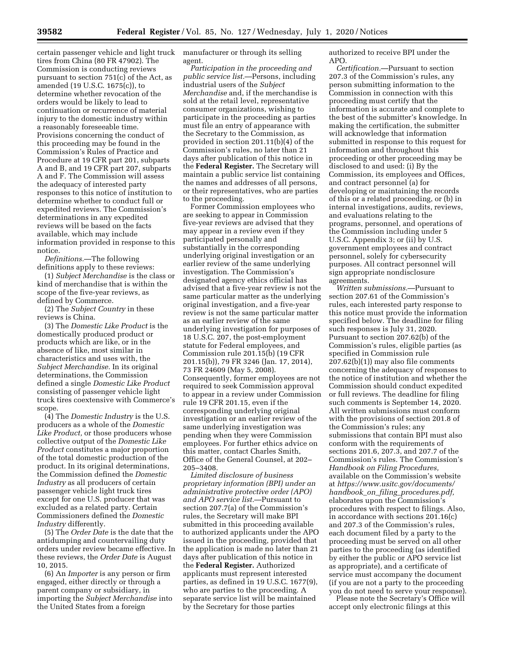certain passenger vehicle and light truck tires from China (80 FR 47902). The Commission is conducting reviews pursuant to section 751(c) of the Act, as amended (19 U.S.C. 1675(c)), to determine whether revocation of the orders would be likely to lead to continuation or recurrence of material injury to the domestic industry within a reasonably foreseeable time. Provisions concerning the conduct of this proceeding may be found in the Commission's Rules of Practice and Procedure at 19 CFR part 201, subparts A and B, and 19 CFR part 207, subparts A and F. The Commission will assess the adequacy of interested party responses to this notice of institution to determine whether to conduct full or expedited reviews. The Commission's determinations in any expedited reviews will be based on the facts available, which may include information provided in response to this notice.

*Definitions.*—The following definitions apply to these reviews:

(1) *Subject Merchandise* is the class or kind of merchandise that is within the scope of the five-year reviews, as defined by Commerce.

(2) The *Subject Country* in these reviews is China.

(3) The *Domestic Like Product* is the domestically produced product or products which are like, or in the absence of like, most similar in characteristics and uses with, the *Subject Merchandise.* In its original determinations, the Commission defined a single *Domestic Like Product*  consisting of passenger vehicle light truck tires coextensive with Commerce's scope.

(4) The *Domestic Industry* is the U.S. producers as a whole of the *Domestic Like Product,* or those producers whose collective output of the *Domestic Like Product* constitutes a major proportion of the total domestic production of the product. In its original determinations, the Commission defined the *Domestic Industry* as all producers of certain passenger vehicle light truck tires except for one U.S. producer that was excluded as a related party. Certain Commissioners defined the *Domestic Industry* differently.

(5) The *Order Date* is the date that the antidumping and countervailing duty orders under review became effective. In these reviews, the *Order Date* is August 10, 2015.

(6) An *Importer* is any person or firm engaged, either directly or through a parent company or subsidiary, in importing the *Subject Merchandise* into the United States from a foreign

manufacturer or through its selling agent.

*Participation in the proceeding and public service list.*—Persons, including industrial users of the *Subject Merchandise* and, if the merchandise is sold at the retail level, representative consumer organizations, wishing to participate in the proceeding as parties must file an entry of appearance with the Secretary to the Commission, as provided in section 201.11(b)(4) of the Commission's rules, no later than 21 days after publication of this notice in the **Federal Register.** The Secretary will maintain a public service list containing the names and addresses of all persons, or their representatives, who are parties to the proceeding.

Former Commission employees who are seeking to appear in Commission five-year reviews are advised that they may appear in a review even if they participated personally and substantially in the corresponding underlying original investigation or an earlier review of the same underlying investigation. The Commission's designated agency ethics official has advised that a five-year review is not the same particular matter as the underlying original investigation, and a five-year review is not the same particular matter as an earlier review of the same underlying investigation for purposes of 18 U.S.C. 207, the post-employment statute for Federal employees, and Commission rule 201.15(b) (19 CFR 201.15(b)), 79 FR 3246 (Jan. 17, 2014), 73 FR 24609 (May 5, 2008). Consequently, former employees are not required to seek Commission approval to appear in a review under Commission rule 19 CFR 201.15, even if the corresponding underlying original investigation or an earlier review of the same underlying investigation was pending when they were Commission employees. For further ethics advice on this matter, contact Charles Smith, Office of the General Counsel, at 202– 205–3408.

*Limited disclosure of business proprietary information (BPI) under an administrative protective order (APO) and APO service list.*—Pursuant to section 207.7(a) of the Commission's rules, the Secretary will make BPI submitted in this proceeding available to authorized applicants under the APO issued in the proceeding, provided that the application is made no later than 21 days after publication of this notice in the **Federal Register.** Authorized applicants must represent interested parties, as defined in 19 U.S.C. 1677(9), who are parties to the proceeding. A separate service list will be maintained by the Secretary for those parties

authorized to receive BPI under the APO.

*Certification.*—Pursuant to section 207.3 of the Commission's rules, any person submitting information to the Commission in connection with this proceeding must certify that the information is accurate and complete to the best of the submitter's knowledge. In making the certification, the submitter will acknowledge that information submitted in response to this request for information and throughout this proceeding or other proceeding may be disclosed to and used: (i) By the Commission, its employees and Offices, and contract personnel (a) for developing or maintaining the records of this or a related proceeding, or (b) in internal investigations, audits, reviews, and evaluations relating to the programs, personnel, and operations of the Commission including under 5 U.S.C. Appendix 3; or (ii) by U.S. government employees and contract personnel, solely for cybersecurity purposes. All contract personnel will sign appropriate nondisclosure agreements.

*Written submissions.*—Pursuant to section 207.61 of the Commission's rules, each interested party response to this notice must provide the information specified below. The deadline for filing such responses is July 31, 2020. Pursuant to section 207.62(b) of the Commission's rules, eligible parties (as specified in Commission rule 207.62(b)(1)) may also file comments concerning the adequacy of responses to the notice of institution and whether the Commission should conduct expedited or full reviews. The deadline for filing such comments is September 14, 2020. All written submissions must conform with the provisions of section 201.8 of the Commission's rules; any submissions that contain BPI must also conform with the requirements of sections 201.6, 207.3, and 207.7 of the Commission's rules. The Commission's *Handbook on Filing Procedures,*  available on the Commission's website at *[https://www.usitc.gov/documents/](https://www.usitc.gov/documents/handbook_on_filing_procedures.pdf) handbook*\_*on*\_*filing*\_*[procedures.pdf,](https://www.usitc.gov/documents/handbook_on_filing_procedures.pdf)*  elaborates upon the Commission's procedures with respect to filings. Also, in accordance with sections 201.16(c) and 207.3 of the Commission's rules, each document filed by a party to the proceeding must be served on all other parties to the proceeding (as identified by either the public or APO service list as appropriate), and a certificate of service must accompany the document (if you are not a party to the proceeding you do not need to serve your response).

Please note the Secretary's Office will accept only electronic filings at this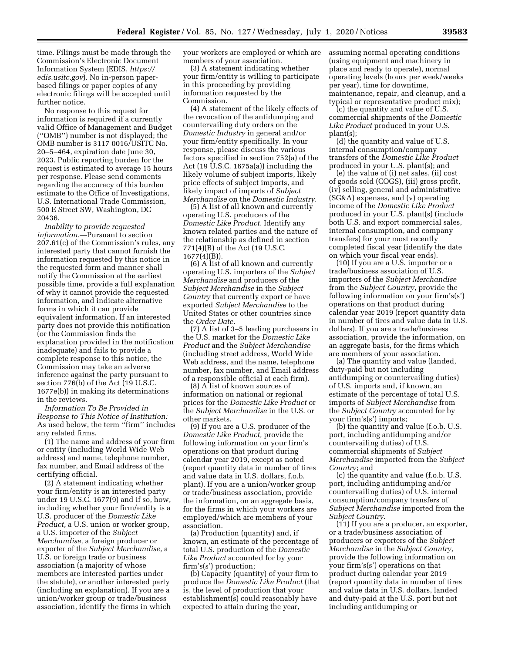time. Filings must be made through the Commission's Electronic Document Information System (EDIS, *[https://](https://edis.usitc.gov) [edis.usitc.gov](https://edis.usitc.gov)*). No in-person paperbased filings or paper copies of any electronic filings will be accepted until further notice.

No response to this request for information is required if a currently valid Office of Management and Budget (''OMB'') number is not displayed; the OMB number is 3117 0016/USITC No. 20–5–464, expiration date June 30, 2023. Public reporting burden for the request is estimated to average 15 hours per response. Please send comments regarding the accuracy of this burden estimate to the Office of Investigations, U.S. International Trade Commission, 500 E Street SW, Washington, DC 20436.

*Inability to provide requested information.*—Pursuant to section 207.61(c) of the Commission's rules, any interested party that cannot furnish the information requested by this notice in the requested form and manner shall notify the Commission at the earliest possible time, provide a full explanation of why it cannot provide the requested information, and indicate alternative forms in which it can provide equivalent information. If an interested party does not provide this notification (or the Commission finds the explanation provided in the notification inadequate) and fails to provide a complete response to this notice, the Commission may take an adverse inference against the party pursuant to section 776(b) of the Act (19 U.S.C. 1677e(b)) in making its determinations in the reviews.

*Information To Be Provided in Response to This Notice of Institution:*  As used below, the term ''firm'' includes any related firms.

(1) The name and address of your firm or entity (including World Wide Web address) and name, telephone number, fax number, and Email address of the certifying official.

(2) A statement indicating whether your firm/entity is an interested party under 19 U.S.C. 1677(9) and if so, how, including whether your firm/entity is a U.S. producer of the *Domestic Like Product,* a U.S. union or worker group, a U.S. importer of the *Subject Merchandise,* a foreign producer or exporter of the *Subject Merchandise,* a U.S. or foreign trade or business association (a majority of whose members are interested parties under the statute), or another interested party (including an explanation). If you are a union/worker group or trade/business association, identify the firms in which your workers are employed or which are members of your association.

(3) A statement indicating whether your firm/entity is willing to participate in this proceeding by providing information requested by the Commission.

(4) A statement of the likely effects of the revocation of the antidumping and countervailing duty orders on the *Domestic Industry* in general and/or your firm/entity specifically. In your response, please discuss the various factors specified in section 752(a) of the Act (19 U.S.C. 1675a(a)) including the likely volume of subject imports, likely price effects of subject imports, and likely impact of imports of *Subject Merchandise* on the *Domestic Industry.* 

(5) A list of all known and currently operating U.S. producers of the *Domestic Like Product.* Identify any known related parties and the nature of the relationship as defined in section 771(4)(B) of the Act (19 U.S.C. 1677(4)(B)).

(6) A list of all known and currently operating U.S. importers of the *Subject Merchandise* and producers of the *Subject Merchandise* in the *Subject Country* that currently export or have exported *Subject Merchandise* to the United States or other countries since the *Order Date.* 

(7) A list of 3–5 leading purchasers in the U.S. market for the *Domestic Like Product* and the *Subject Merchandise*  (including street address, World Wide Web address, and the name, telephone number, fax number, and Email address of a responsible official at each firm).

(8) A list of known sources of information on national or regional prices for the *Domestic Like Product* or the *Subject Merchandise* in the U.S. or other markets.

(9) If you are a U.S. producer of the *Domestic Like Product,* provide the following information on your firm's operations on that product during calendar year 2019, except as noted (report quantity data in number of tires and value data in U.S. dollars, f.o.b. plant). If you are a union/worker group or trade/business association, provide the information, on an aggregate basis, for the firms in which your workers are employed/which are members of your association.

(a) Production (quantity) and, if known, an estimate of the percentage of total U.S. production of the *Domestic Like Product* accounted for by your firm's(s') production;

(b) Capacity (quantity) of your firm to produce the *Domestic Like Product* (that is, the level of production that your establishment(s) could reasonably have expected to attain during the year,

assuming normal operating conditions (using equipment and machinery in place and ready to operate), normal operating levels (hours per week/weeks per year), time for downtime, maintenance, repair, and cleanup, and a typical or representative product mix);

(c) the quantity and value of U.S. commercial shipments of the *Domestic Like Product* produced in your U.S. plant(s);

(d) the quantity and value of U.S. internal consumption/company transfers of the *Domestic Like Product*  produced in your U.S. plant(s); and

(e) the value of (i) net sales, (ii) cost of goods sold (COGS), (iii) gross profit, (iv) selling, general and administrative (SG&A) expenses, and (v) operating income of the *Domestic Like Product*  produced in your U.S. plant(s) (include both U.S. and export commercial sales, internal consumption, and company transfers) for your most recently completed fiscal year (identify the date on which your fiscal year ends).

(10) If you are a U.S. importer or a trade/business association of U.S. importers of the *Subject Merchandise*  from the *Subject Country*, provide the following information on your firm's(s') operations on that product during calendar year 2019 (report quantity data in number of tires and value data in U.S. dollars). If you are a trade/business association, provide the information, on an aggregate basis, for the firms which are members of your association.

(a) The quantity and value (landed, duty-paid but not including antidumping or countervailing duties) of U.S. imports and, if known, an estimate of the percentage of total U.S. imports of *Subject Merchandise* from the *Subject Country* accounted for by your firm's(s') imports;

(b) the quantity and value (f.o.b. U.S. port, including antidumping and/or countervailing duties) of U.S. commercial shipments of *Subject Merchandise* imported from the *Subject Country*; and

(c) the quantity and value (f.o.b. U.S. port, including antidumping and/or countervailing duties) of U.S. internal consumption/company transfers of *Subject Merchandise* imported from the *Subject Country.* 

(11) If you are a producer, an exporter, or a trade/business association of producers or exporters of the *Subject Merchandise* in the *Subject Country,*  provide the following information on your firm's(s') operations on that product during calendar year 2019 (report quantity data in number of tires and value data in U.S. dollars, landed and duty-paid at the U.S. port but not including antidumping or